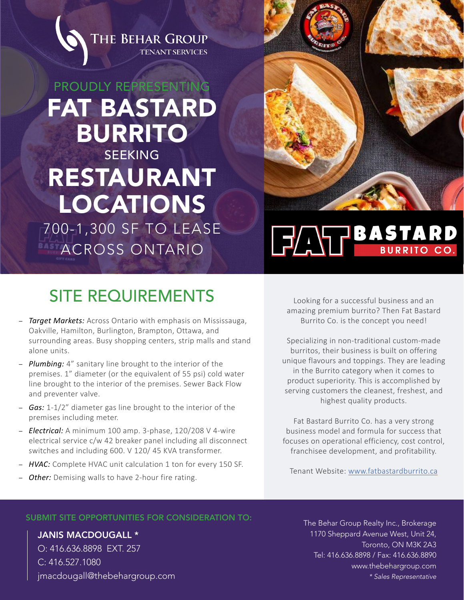

## PROUDLY REPRESENTING FAT BASTARD BURRITO **SEEKING** RESTAURANT LOCATIONS

700-1,300 SF TO LEASE ACROSS ONTARIO



# **FATT BASTARD**

### SITE REQUIREMENTS

- *Target Markets:* Across Ontario with emphasis on Mississauga, Oakville, Hamilton, Burlington, Brampton, Ottawa, and surrounding areas. Busy shopping centers, strip malls and stand alone units.
- *Plumbing:* 4" sanitary line brought to the interior of the premises. 1" diameter (or the equivalent of 55 psi) cold water line brought to the interior of the premises. Sewer Back Flow and preventer valve.
- *Gas:* 1-1/2" diameter gas line brought to the interior of the premises including meter.
- *Electrical:* A minimum 100 amp. 3-phase, 120/208 V 4-wire electrical service c/w 42 breaker panel including all disconnect switches and including 600. V 120/ 45 KVA transformer.
- *HVAC:* Complete HVAC unit calculation 1 ton for every 150 SF.
- *Other:* Demising walls to have 2-hour fire rating.

Looking for a successful business and an amazing premium burrito? Then Fat Bastard Burrito Co. is the concept you need!

Specializing in non-traditional custom-made burritos, their business is built on offering unique flavours and toppings. They are leading in the Burrito category when it comes to product superiority. This is accomplished by serving customers the cleanest, freshest, and highest quality products.

Fat Bastard Burrito Co. has a very strong business model and formula for success that focuses on operational efficiency, cost control, franchisee development, and profitability.

Tenant Website: [www.fatbastardburrito.ca](https://www.fatbastardburrito.ca/)

#### SUBMIT SITE OPPORTUNITIES FOR CONSIDERATION TO: The Behar Group Realty Inc., Brokerage

JANIS MACDOUGALL \* O: 416.636.8898 EXT. 257 C: 416.527.1080 jmacdougall@thebehargroup.com 1170 Sheppard Avenue West, Unit 24, Toronto, ON M3K 2A3 Tel: 416.636.8898 / Fax: 416.636.8890 [www.thebehargroup.com](http://thebehargroup.com/) *\* Sales Representative*